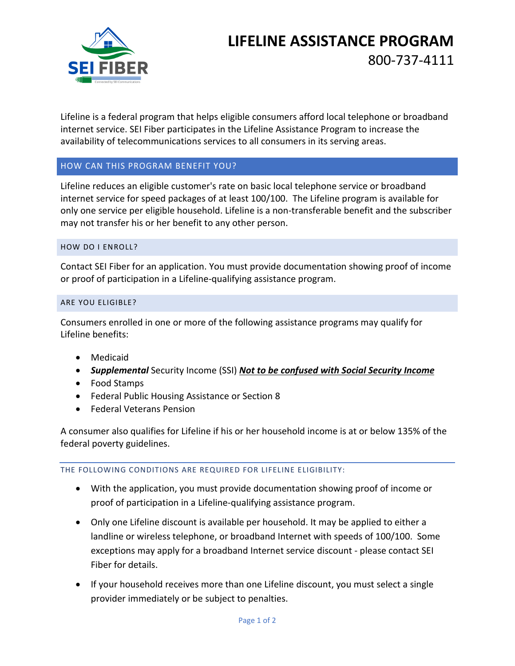

# **LIFELINE ASSISTANCE PROGRAM**

800-737-4111

Lifeline is a federal program that helps eligible consumers afford local telephone or broadband internet service. SEI Fiber participates in the Lifeline Assistance Program to increase the availability of telecommunications services to all consumers in its serving areas.

### HOW CAN THIS PROGRAM BENEFIT YOU?

Lifeline reduces an eligible customer's rate on basic local telephone service or broadband internet service for speed packages of at least 100/100. The Lifeline program is available for only one service per eligible household. Lifeline is a non-transferable benefit and the subscriber may not transfer his or her benefit to any other person.

#### HOW DO I ENROLL?

Contact SEI Fiber for an application. You must provide documentation showing proof of income or proof of participation in a Lifeline-qualifying assistance program.

#### ARE YOU ELIGIBLE?

Consumers enrolled in one or more of the following assistance programs may qualify for Lifeline benefits:

- Medicaid
- *Supplemental* Security Income (SSI) *Not to be confused with Social Security Income*
- Food Stamps
- Federal Public Housing Assistance or Section 8
- Federal Veterans Pension

A consumer also qualifies for Lifeline if his or her household income is at or below 135% of the federal poverty guidelines.

#### THE FOLLOWING CONDITIONS ARE REQUIRED FOR LIFELINE ELIGIBILITY:

- With the application, you must provide documentation showing proof of income or proof of participation in a Lifeline-qualifying assistance program.
- Only one Lifeline discount is available per household. It may be applied to either a landline or wireless telephone, or broadband Internet with speeds of 100/100. Some exceptions may apply for a broadband Internet service discount - please contact SEI Fiber for details.
- If your household receives more than one Lifeline discount, you must select a single provider immediately or be subject to penalties.